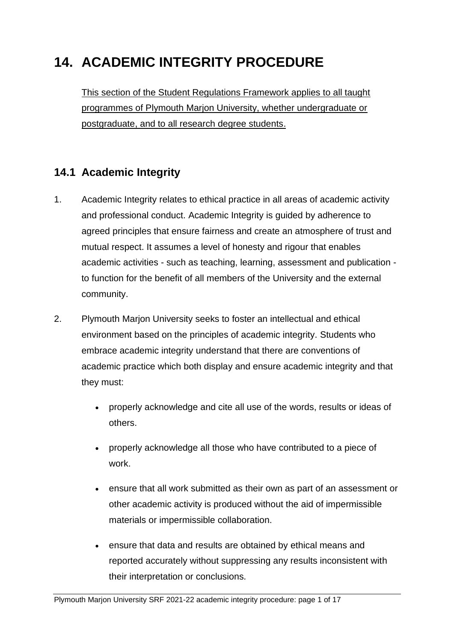# **14. ACADEMIC INTEGRITY PROCEDURE**

This section of the Student Regulations Framework applies to all taught programmes of Plymouth Marjon University, whether undergraduate or postgraduate, and to all research degree students.

# **14.1 Academic Integrity**

- 1. Academic Integrity relates to ethical practice in all areas of academic activity and professional conduct. Academic Integrity is guided by adherence to agreed principles that ensure fairness and create an atmosphere of trust and mutual respect. It assumes a level of honesty and rigour that enables academic activities - such as teaching, learning, assessment and publication to function for the benefit of all members of the University and the external community.
- 2. Plymouth Marjon University seeks to foster an intellectual and ethical environment based on the principles of academic integrity. Students who embrace academic integrity understand that there are conventions of academic practice which both display and ensure academic integrity and that they must:
	- properly acknowledge and cite all use of the words, results or ideas of others.
	- properly acknowledge all those who have contributed to a piece of work.
	- ensure that all work submitted as their own as part of an assessment or other academic activity is produced without the aid of impermissible materials or impermissible collaboration.
	- ensure that data and results are obtained by ethical means and reported accurately without suppressing any results inconsistent with their interpretation or conclusions.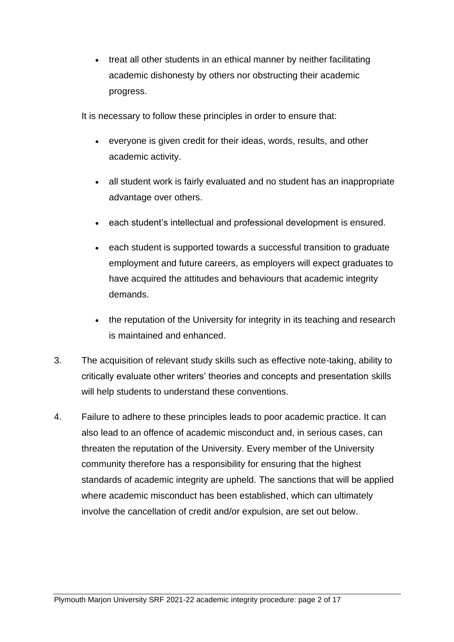• treat all other students in an ethical manner by neither facilitating academic dishonesty by others nor obstructing their academic progress.

It is necessary to follow these principles in order to ensure that:

- everyone is given credit for their ideas, words, results, and other academic activity.
- all student work is fairly evaluated and no student has an inappropriate advantage over others.
- each student's intellectual and professional development is ensured.
- each student is supported towards a successful transition to graduate employment and future careers, as employers will expect graduates to have acquired the attitudes and behaviours that academic integrity demands.
- the reputation of the University for integrity in its teaching and research is maintained and enhanced.
- 3. The acquisition of relevant study skills such as effective note-taking, ability to critically evaluate other writers' theories and concepts and presentation skills will help students to understand these conventions.
- 4. Failure to adhere to these principles leads to poor academic practice. It can also lead to an offence of academic misconduct and, in serious cases, can threaten the reputation of the University. Every member of the University community therefore has a responsibility for ensuring that the highest standards of academic integrity are upheld. The sanctions that will be applied where academic misconduct has been established, which can ultimately involve the cancellation of credit and/or expulsion, are set out below.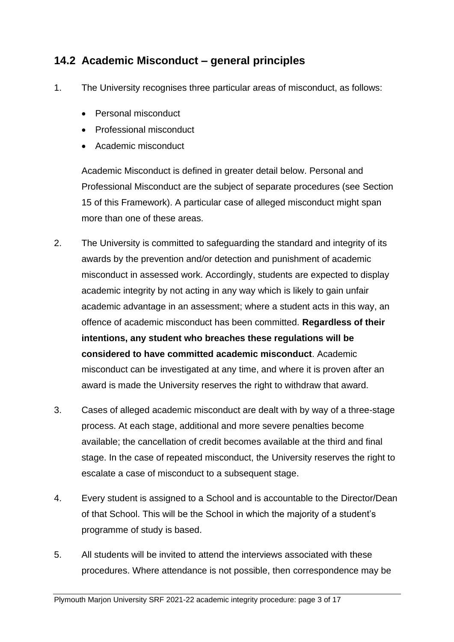#### **14.2 Academic Misconduct – general principles**

- 1. The University recognises three particular areas of misconduct, as follows:
	- Personal misconduct
	- Professional misconduct
	- Academic misconduct

Academic Misconduct is defined in greater detail below. Personal and Professional Misconduct are the subject of separate procedures (see Section 15 of this Framework). A particular case of alleged misconduct might span more than one of these areas.

- 2. The University is committed to safeguarding the standard and integrity of its awards by the prevention and/or detection and punishment of academic misconduct in assessed work. Accordingly, students are expected to display academic integrity by not acting in any way which is likely to gain unfair academic advantage in an assessment; where a student acts in this way, an offence of academic misconduct has been committed. **Regardless of their intentions, any student who breaches these regulations will be considered to have committed academic misconduct**. Academic misconduct can be investigated at any time, and where it is proven after an award is made the University reserves the right to withdraw that award.
- 3. Cases of alleged academic misconduct are dealt with by way of a three-stage process. At each stage, additional and more severe penalties become available; the cancellation of credit becomes available at the third and final stage. In the case of repeated misconduct, the University reserves the right to escalate a case of misconduct to a subsequent stage.
- 4. Every student is assigned to a School and is accountable to the Director/Dean of that School. This will be the School in which the majority of a student's programme of study is based.
- 5. All students will be invited to attend the interviews associated with these procedures. Where attendance is not possible, then correspondence may be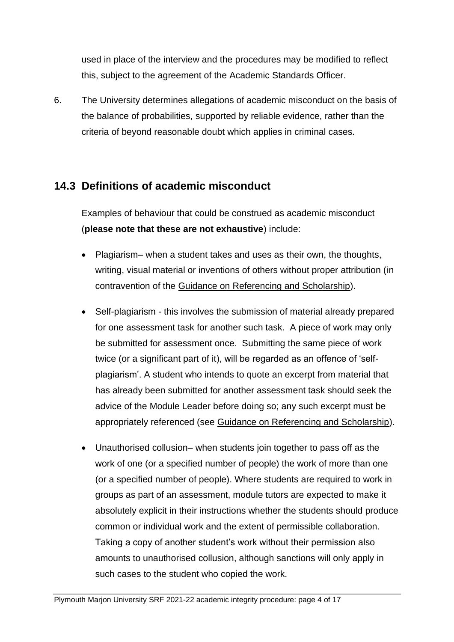used in place of the interview and the procedures may be modified to reflect this, subject to the agreement of the Academic Standards Officer.

6. The University determines allegations of academic misconduct on the basis of the balance of probabilities, supported by reliable evidence, rather than the criteria of beyond reasonable doubt which applies in criminal cases.

#### **14.3 Definitions of academic misconduct**

Examples of behaviour that could be construed as academic misconduct (**please note that these are not exhaustive**) include:

- Plagiarism– when a student takes and uses as their own, the thoughts, writing, visual material or inventions of others without proper attribution (in contravention of the [Guidance on Referencing and Scholarship\)](https://sites.marjon.ac.uk/handbook/referencing-scholarship).
- Self-plagiarism this involves the submission of material already prepared for one assessment task for another such task. A piece of work may only be submitted for assessment once. Submitting the same piece of work twice (or a significant part of it), will be regarded as an offence of 'selfplagiarism'. A student who intends to quote an excerpt from material that has already been submitted for another assessment task should seek the advice of the Module Leader before doing so; any such excerpt must be appropriately referenced (see [Guidance on Referencing and Scholarship\)](https://sites.marjon.ac.uk/handbook/referencing-scholarship).
- Unauthorised collusion– when students join together to pass off as the work of one (or a specified number of people) the work of more than one (or a specified number of people). Where students are required to work in groups as part of an assessment, module tutors are expected to make it absolutely explicit in their instructions whether the students should produce common or individual work and the extent of permissible collaboration. Taking a copy of another student's work without their permission also amounts to unauthorised collusion, although sanctions will only apply in such cases to the student who copied the work.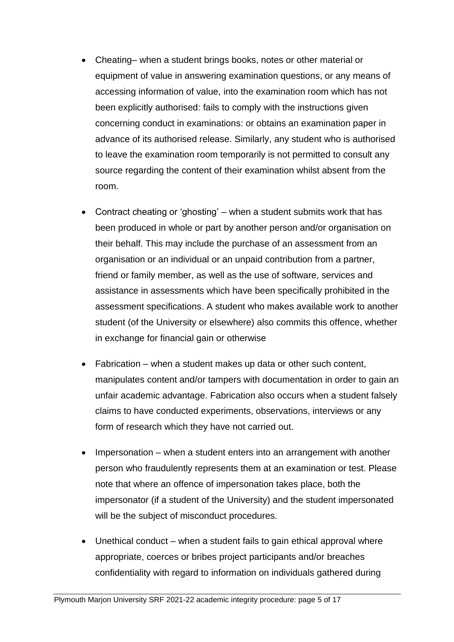- Cheating– when a student brings books, notes or other material or equipment of value in answering examination questions, or any means of accessing information of value, into the examination room which has not been explicitly authorised: fails to comply with the instructions given concerning conduct in examinations: or obtains an examination paper in advance of its authorised release. Similarly, any student who is authorised to leave the examination room temporarily is not permitted to consult any source regarding the content of their examination whilst absent from the room.
- Contract cheating or 'ghosting' when a student submits work that has been produced in whole or part by another person and/or organisation on their behalf. This may include the purchase of an assessment from an organisation or an individual or an unpaid contribution from a partner, friend or family member, as well as the use of software, services and assistance in assessments which have been specifically prohibited in the assessment specifications. A student who makes available work to another student (of the University or elsewhere) also commits this offence, whether in exchange for financial gain or otherwise
- Fabrication when a student makes up data or other such content, manipulates content and/or tampers with documentation in order to gain an unfair academic advantage. Fabrication also occurs when a student falsely claims to have conducted experiments, observations, interviews or any form of research which they have not carried out.
- Impersonation when a student enters into an arrangement with another person who fraudulently represents them at an examination or test. Please note that where an offence of impersonation takes place, both the impersonator (if a student of the University) and the student impersonated will be the subject of misconduct procedures.
- Unethical conduct when a student fails to gain ethical approval where appropriate, coerces or bribes project participants and/or breaches confidentiality with regard to information on individuals gathered during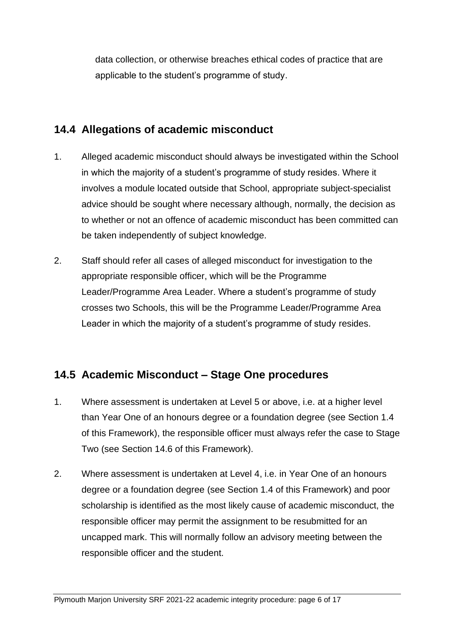data collection, or otherwise breaches ethical codes of practice that are applicable to the student's programme of study.

#### **14.4 Allegations of academic misconduct**

- 1. Alleged academic misconduct should always be investigated within the School in which the majority of a student's programme of study resides. Where it involves a module located outside that School, appropriate subject-specialist advice should be sought where necessary although, normally, the decision as to whether or not an offence of academic misconduct has been committed can be taken independently of subject knowledge.
- 2. Staff should refer all cases of alleged misconduct for investigation to the appropriate responsible officer, which will be the Programme Leader/Programme Area Leader. Where a student's programme of study crosses two Schools, this will be the Programme Leader/Programme Area Leader in which the majority of a student's programme of study resides.

# **14.5 Academic Misconduct – Stage One procedures**

- 1. Where assessment is undertaken at Level 5 or above, i.e. at a higher level than Year One of an honours degree or a foundation degree (see Section 1.4 of this Framework), the responsible officer must always refer the case to Stage Two (see Section 14.6 of this Framework).
- 2. Where assessment is undertaken at Level 4, i.e. in Year One of an honours degree or a foundation degree (see Section 1.4 of this Framework) and poor scholarship is identified as the most likely cause of academic misconduct, the responsible officer may permit the assignment to be resubmitted for an uncapped mark. This will normally follow an advisory meeting between the responsible officer and the student.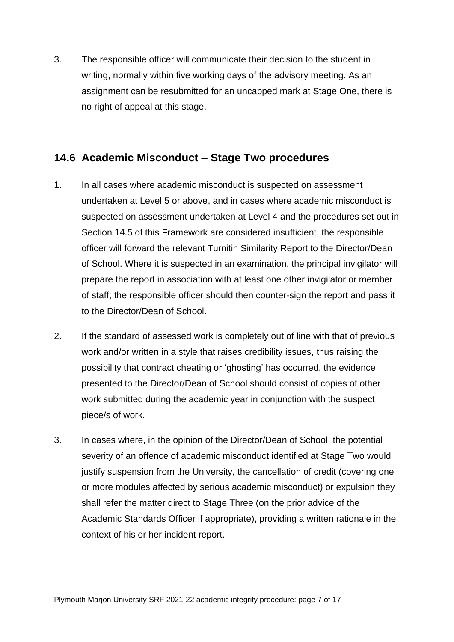3. The responsible officer will communicate their decision to the student in writing, normally within five working days of the advisory meeting. As an assignment can be resubmitted for an uncapped mark at Stage One, there is no right of appeal at this stage.

#### **14.6 Academic Misconduct – Stage Two procedures**

- 1. In all cases where academic misconduct is suspected on assessment undertaken at Level 5 or above, and in cases where academic misconduct is suspected on assessment undertaken at Level 4 and the procedures set out in Section 14.5 of this Framework are considered insufficient, the responsible officer will forward the relevant Turnitin Similarity Report to the Director/Dean of School. Where it is suspected in an examination, the principal invigilator will prepare the report in association with at least one other invigilator or member of staff; the responsible officer should then counter-sign the report and pass it to the Director/Dean of School.
- 2. If the standard of assessed work is completely out of line with that of previous work and/or written in a style that raises credibility issues, thus raising the possibility that contract cheating or 'ghosting' has occurred, the evidence presented to the Director/Dean of School should consist of copies of other work submitted during the academic year in conjunction with the suspect piece/s of work.
- 3. In cases where, in the opinion of the Director/Dean of School, the potential severity of an offence of academic misconduct identified at Stage Two would justify suspension from the University, the cancellation of credit (covering one or more modules affected by serious academic misconduct) or expulsion they shall refer the matter direct to Stage Three (on the prior advice of the Academic Standards Officer if appropriate), providing a written rationale in the context of his or her incident report.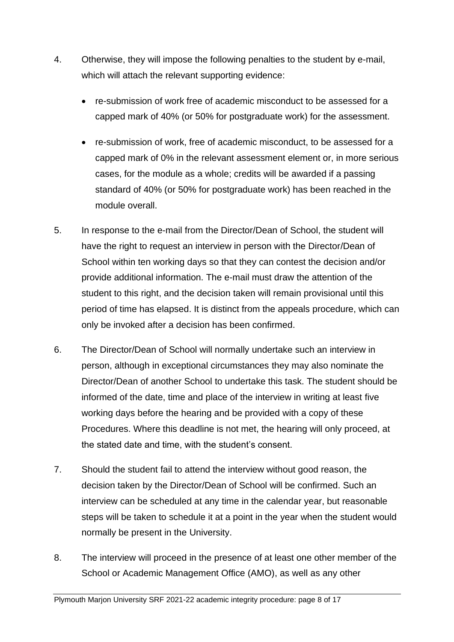- 4. Otherwise, they will impose the following penalties to the student by e-mail, which will attach the relevant supporting evidence:
	- re-submission of work free of academic misconduct to be assessed for a capped mark of 40% (or 50% for postgraduate work) for the assessment.
	- re-submission of work, free of academic misconduct, to be assessed for a capped mark of 0% in the relevant assessment element or, in more serious cases, for the module as a whole; credits will be awarded if a passing standard of 40% (or 50% for postgraduate work) has been reached in the module overall.
- 5. In response to the e-mail from the Director/Dean of School, the student will have the right to request an interview in person with the Director/Dean of School within ten working days so that they can contest the decision and/or provide additional information. The e-mail must draw the attention of the student to this right, and the decision taken will remain provisional until this period of time has elapsed. It is distinct from the appeals procedure, which can only be invoked after a decision has been confirmed.
- 6. The Director/Dean of School will normally undertake such an interview in person, although in exceptional circumstances they may also nominate the Director/Dean of another School to undertake this task. The student should be informed of the date, time and place of the interview in writing at least five working days before the hearing and be provided with a copy of these Procedures. Where this deadline is not met, the hearing will only proceed, at the stated date and time, with the student's consent.
- 7. Should the student fail to attend the interview without good reason, the decision taken by the Director/Dean of School will be confirmed. Such an interview can be scheduled at any time in the calendar year, but reasonable steps will be taken to schedule it at a point in the year when the student would normally be present in the University.
- 8. The interview will proceed in the presence of at least one other member of the School or Academic Management Office (AMO), as well as any other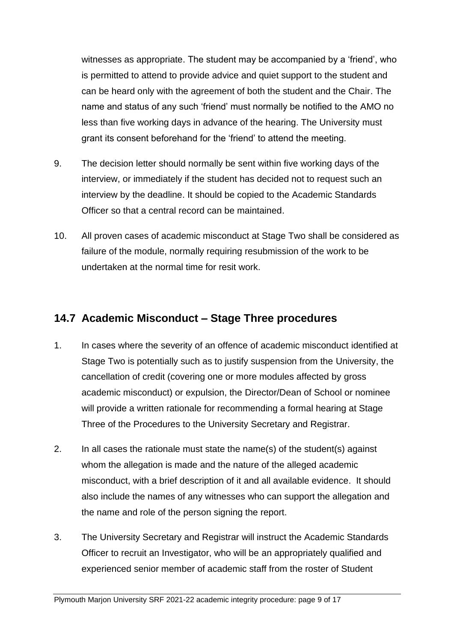witnesses as appropriate. The student may be accompanied by a 'friend', who is permitted to attend to provide advice and quiet support to the student and can be heard only with the agreement of both the student and the Chair. The name and status of any such 'friend' must normally be notified to the AMO no less than five working days in advance of the hearing. The University must grant its consent beforehand for the 'friend' to attend the meeting.

- 9. The decision letter should normally be sent within five working days of the interview, or immediately if the student has decided not to request such an interview by the deadline. It should be copied to the Academic Standards Officer so that a central record can be maintained.
- 10. All proven cases of academic misconduct at Stage Two shall be considered as failure of the module, normally requiring resubmission of the work to be undertaken at the normal time for resit work.

#### **14.7 Academic Misconduct – Stage Three procedures**

- 1. In cases where the severity of an offence of academic misconduct identified at Stage Two is potentially such as to justify suspension from the University, the cancellation of credit (covering one or more modules affected by gross academic misconduct) or expulsion, the Director/Dean of School or nominee will provide a written rationale for recommending a formal hearing at Stage Three of the Procedures to the University Secretary and Registrar.
- 2. In all cases the rationale must state the name(s) of the student(s) against whom the allegation is made and the nature of the alleged academic misconduct, with a brief description of it and all available evidence. It should also include the names of any witnesses who can support the allegation and the name and role of the person signing the report.
- 3. The University Secretary and Registrar will instruct the Academic Standards Officer to recruit an Investigator, who will be an appropriately qualified and experienced senior member of academic staff from the roster of Student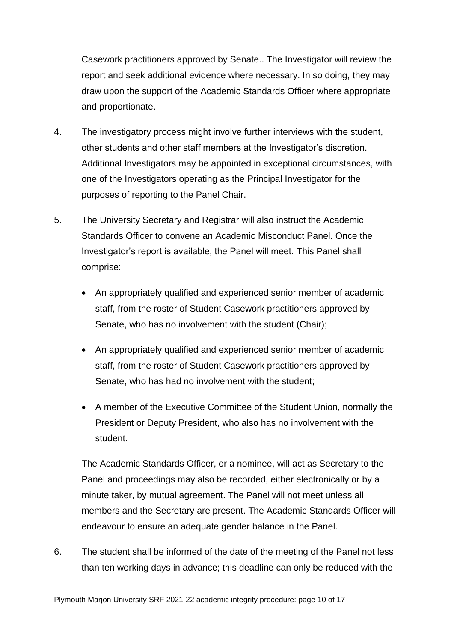Casework practitioners approved by Senate.. The Investigator will review the report and seek additional evidence where necessary. In so doing, they may draw upon the support of the Academic Standards Officer where appropriate and proportionate.

- 4. The investigatory process might involve further interviews with the student, other students and other staff members at the Investigator's discretion. Additional Investigators may be appointed in exceptional circumstances, with one of the Investigators operating as the Principal Investigator for the purposes of reporting to the Panel Chair.
- 5. The University Secretary and Registrar will also instruct the Academic Standards Officer to convene an Academic Misconduct Panel. Once the Investigator's report is available, the Panel will meet. This Panel shall comprise:
	- An appropriately qualified and experienced senior member of academic staff, from the roster of Student Casework practitioners approved by Senate, who has no involvement with the student (Chair);
	- An appropriately qualified and experienced senior member of academic staff, from the roster of Student Casework practitioners approved by Senate, who has had no involvement with the student;
	- A member of the Executive Committee of the Student Union, normally the President or Deputy President, who also has no involvement with the student.

The Academic Standards Officer, or a nominee, will act as Secretary to the Panel and proceedings may also be recorded, either electronically or by a minute taker, by mutual agreement. The Panel will not meet unless all members and the Secretary are present. The Academic Standards Officer will endeavour to ensure an adequate gender balance in the Panel.

6. The student shall be informed of the date of the meeting of the Panel not less than ten working days in advance; this deadline can only be reduced with the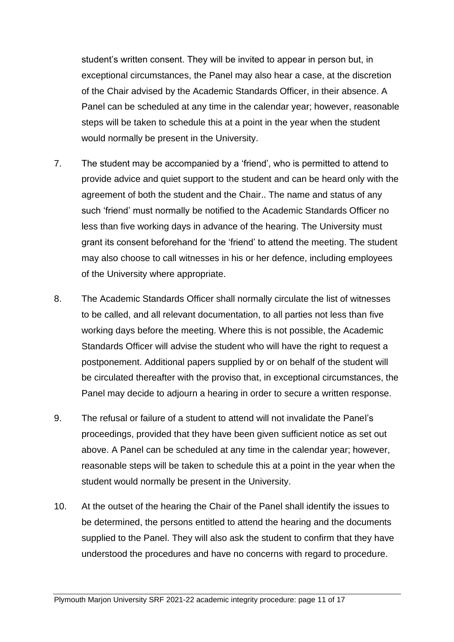student's written consent. They will be invited to appear in person but, in exceptional circumstances, the Panel may also hear a case, at the discretion of the Chair advised by the Academic Standards Officer, in their absence. A Panel can be scheduled at any time in the calendar year; however, reasonable steps will be taken to schedule this at a point in the year when the student would normally be present in the University.

- 7. The student may be accompanied by a 'friend', who is permitted to attend to provide advice and quiet support to the student and can be heard only with the agreement of both the student and the Chair.. The name and status of any such 'friend' must normally be notified to the Academic Standards Officer no less than five working days in advance of the hearing. The University must grant its consent beforehand for the 'friend' to attend the meeting. The student may also choose to call witnesses in his or her defence, including employees of the University where appropriate.
- 8. The Academic Standards Officer shall normally circulate the list of witnesses to be called, and all relevant documentation, to all parties not less than five working days before the meeting. Where this is not possible, the Academic Standards Officer will advise the student who will have the right to request a postponement. Additional papers supplied by or on behalf of the student will be circulated thereafter with the proviso that, in exceptional circumstances, the Panel may decide to adjourn a hearing in order to secure a written response.
- 9. The refusal or failure of a student to attend will not invalidate the Panel's proceedings, provided that they have been given sufficient notice as set out above. A Panel can be scheduled at any time in the calendar year; however, reasonable steps will be taken to schedule this at a point in the year when the student would normally be present in the University.
- 10. At the outset of the hearing the Chair of the Panel shall identify the issues to be determined, the persons entitled to attend the hearing and the documents supplied to the Panel. They will also ask the student to confirm that they have understood the procedures and have no concerns with regard to procedure.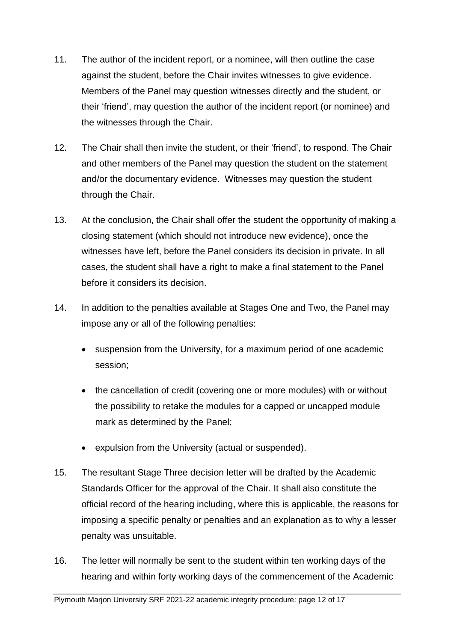- 11. The author of the incident report, or a nominee, will then outline the case against the student, before the Chair invites witnesses to give evidence. Members of the Panel may question witnesses directly and the student, or their 'friend', may question the author of the incident report (or nominee) and the witnesses through the Chair.
- 12. The Chair shall then invite the student, or their 'friend', to respond. The Chair and other members of the Panel may question the student on the statement and/or the documentary evidence. Witnesses may question the student through the Chair.
- 13. At the conclusion, the Chair shall offer the student the opportunity of making a closing statement (which should not introduce new evidence), once the witnesses have left, before the Panel considers its decision in private. In all cases, the student shall have a right to make a final statement to the Panel before it considers its decision.
- 14. In addition to the penalties available at Stages One and Two, the Panel may impose any or all of the following penalties:
	- suspension from the University, for a maximum period of one academic session;
	- the cancellation of credit (covering one or more modules) with or without the possibility to retake the modules for a capped or uncapped module mark as determined by the Panel;
	- expulsion from the University (actual or suspended).
- 15. The resultant Stage Three decision letter will be drafted by the Academic Standards Officer for the approval of the Chair. It shall also constitute the official record of the hearing including, where this is applicable, the reasons for imposing a specific penalty or penalties and an explanation as to why a lesser penalty was unsuitable.
- 16. The letter will normally be sent to the student within ten working days of the hearing and within forty working days of the commencement of the Academic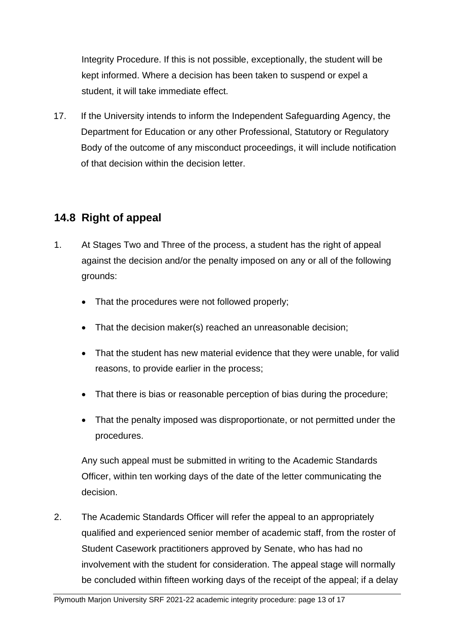Integrity Procedure. If this is not possible, exceptionally, the student will be kept informed. Where a decision has been taken to suspend or expel a student, it will take immediate effect.

17. If the University intends to inform the Independent Safeguarding Agency, the Department for Education or any other Professional, Statutory or Regulatory Body of the outcome of any misconduct proceedings, it will include notification of that decision within the decision letter.

#### **14.8 Right of appeal**

- 1. At Stages Two and Three of the process, a student has the right of appeal against the decision and/or the penalty imposed on any or all of the following grounds:
	- That the procedures were not followed properly;
	- That the decision maker(s) reached an unreasonable decision;
	- That the student has new material evidence that they were unable, for valid reasons, to provide earlier in the process;
	- That there is bias or reasonable perception of bias during the procedure;
	- That the penalty imposed was disproportionate, or not permitted under the procedures.

Any such appeal must be submitted in writing to the Academic Standards Officer, within ten working days of the date of the letter communicating the decision.

2. The Academic Standards Officer will refer the appeal to an appropriately qualified and experienced senior member of academic staff, from the roster of Student Casework practitioners approved by Senate, who has had no involvement with the student for consideration. The appeal stage will normally be concluded within fifteen working days of the receipt of the appeal; if a delay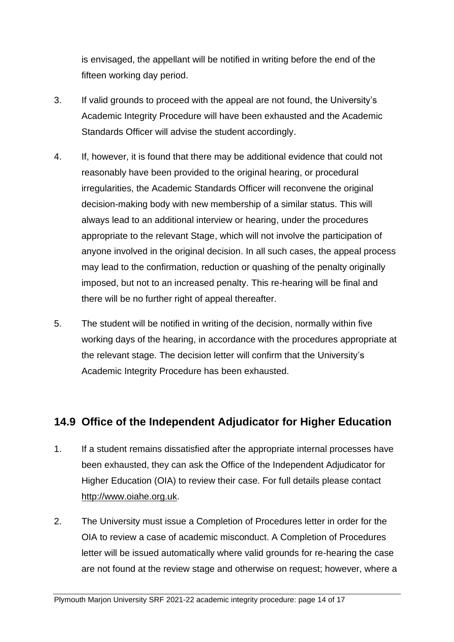is envisaged, the appellant will be notified in writing before the end of the fifteen working day period.

- 3. If valid grounds to proceed with the appeal are not found, the University's Academic Integrity Procedure will have been exhausted and the Academic Standards Officer will advise the student accordingly.
- 4. If, however, it is found that there may be additional evidence that could not reasonably have been provided to the original hearing, or procedural irregularities, the Academic Standards Officer will reconvene the original decision-making body with new membership of a similar status. This will always lead to an additional interview or hearing, under the procedures appropriate to the relevant Stage, which will not involve the participation of anyone involved in the original decision. In all such cases, the appeal process may lead to the confirmation, reduction or quashing of the penalty originally imposed, but not to an increased penalty. This re-hearing will be final and there will be no further right of appeal thereafter.
- 5. The student will be notified in writing of the decision, normally within five working days of the hearing, in accordance with the procedures appropriate at the relevant stage. The decision letter will confirm that the University's Academic Integrity Procedure has been exhausted.

# **14.9 Office of the Independent Adjudicator for Higher Education**

- 1. If a student remains dissatisfied after the appropriate internal processes have been exhausted, they can ask the Office of the Independent Adjudicator for Higher Education (OIA) to review their case. For full details please contact [http://www.oiahe.org.uk.](http://www.oiahe.org.uk/)
- 2. The University must issue a Completion of Procedures letter in order for the OIA to review a case of academic misconduct. A Completion of Procedures letter will be issued automatically where valid grounds for re-hearing the case are not found at the review stage and otherwise on request; however, where a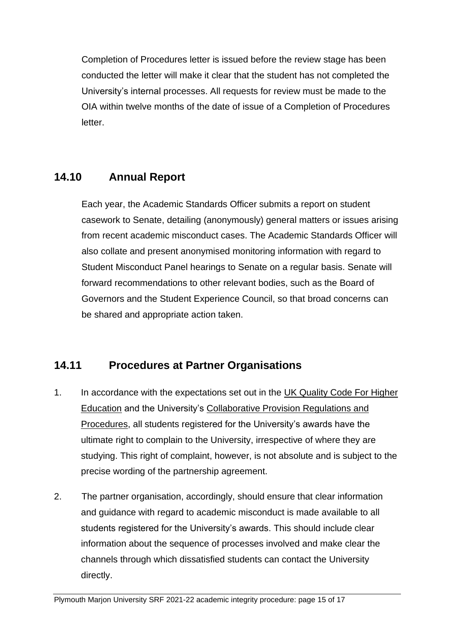Completion of Procedures letter is issued before the review stage has been conducted the letter will make it clear that the student has not completed the University's internal processes. All requests for review must be made to the OIA within twelve months of the date of issue of a Completion of Procedures letter.

# **14.10 Annual Report**

Each year, the Academic Standards Officer submits a report on student casework to Senate, detailing (anonymously) general matters or issues arising from recent academic misconduct cases. The Academic Standards Officer will also collate and present anonymised monitoring information with regard to Student Misconduct Panel hearings to Senate on a regular basis. Senate will forward recommendations to other relevant bodies, such as the Board of Governors and the Student Experience Council, so that broad concerns can be shared and appropriate action taken.

# **14.11 Procedures at Partner Organisations**

- 1. In accordance with the expectations set out in the [UK Quality Code For Higher](https://www.qaa.ac.uk/quality-code)  [Education](https://www.qaa.ac.uk/quality-code) and the University's [Collaborative Provision Regulations and](https://www.marjon.ac.uk/about-marjon/institutional-documents/collaborative-provision/collaborative-provision-regulations-and-procedures-v1-4.pdf)  [Procedures,](https://www.marjon.ac.uk/about-marjon/institutional-documents/collaborative-provision/collaborative-provision-regulations-and-procedures-v1-4.pdf) all students registered for the University's awards have the ultimate right to complain to the University, irrespective of where they are studying. This right of complaint, however, is not absolute and is subject to the precise wording of the partnership agreement.
- 2. The partner organisation, accordingly, should ensure that clear information and guidance with regard to academic misconduct is made available to all students registered for the University's awards. This should include clear information about the sequence of processes involved and make clear the channels through which dissatisfied students can contact the University directly.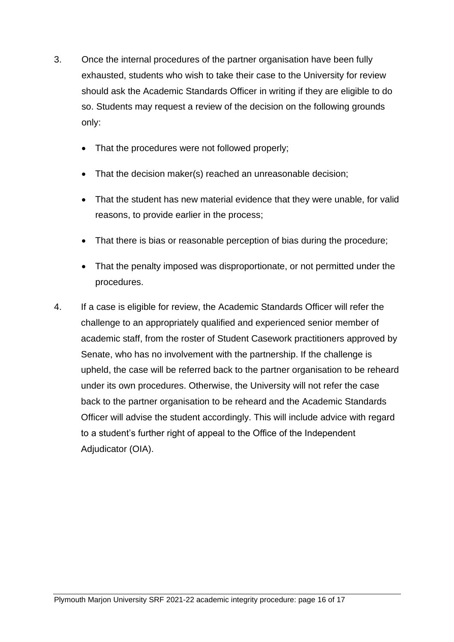- 3. Once the internal procedures of the partner organisation have been fully exhausted, students who wish to take their case to the University for review should ask the Academic Standards Officer in writing if they are eligible to do so. Students may request a review of the decision on the following grounds only:
	- That the procedures were not followed properly;
	- That the decision maker(s) reached an unreasonable decision;
	- That the student has new material evidence that they were unable, for valid reasons, to provide earlier in the process;
	- That there is bias or reasonable perception of bias during the procedure;
	- That the penalty imposed was disproportionate, or not permitted under the procedures.
- 4. If a case is eligible for review, the Academic Standards Officer will refer the challenge to an appropriately qualified and experienced senior member of academic staff, from the roster of Student Casework practitioners approved by Senate, who has no involvement with the partnership. If the challenge is upheld, the case will be referred back to the partner organisation to be reheard under its own procedures. Otherwise, the University will not refer the case back to the partner organisation to be reheard and the Academic Standards Officer will advise the student accordingly. This will include advice with regard to a student's further right of appeal to the Office of the Independent Adjudicator (OIA).